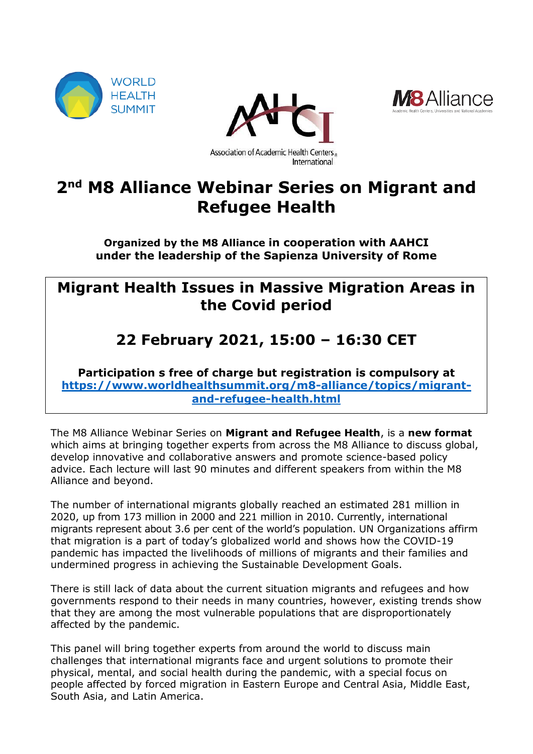





# **2 nd M8 Alliance Webinar Series on Migrant and Refugee Health**

**Organized by the M8 Alliance in cooperation with AAHCI under the leadership of the Sapienza University of Rome**

## **Migrant Health Issues in Massive Migration Areas in the Covid period**

# **22 February 2021, 15:00 – 16:30 CET**

**Participation s free of charge but registration is compulsory at [https://www.worldhealthsummit.org/m8-alliance/topics/migrant](https://www.worldhealthsummit.org/m8-alliance/topics/migrant-and-refugee-health.html)[and-refugee-health.html](https://www.worldhealthsummit.org/m8-alliance/topics/migrant-and-refugee-health.html)**

The M8 Alliance Webinar Series on **Migrant and Refugee Health**, is a **new format**  which aims at bringing together experts from across the M8 Alliance to discuss global, develop innovative and collaborative answers and promote science-based policy advice. Each lecture will last 90 minutes and different speakers from within the M8 Alliance and beyond.

The number of international migrants globally reached an estimated 281 million in 2020, up from 173 million in 2000 and 221 million in 2010. Currently, international migrants represent about 3.6 per cent of the world's population. UN Organizations affirm that migration is a part of today's globalized world and shows how the COVID-19 pandemic has impacted the livelihoods of millions of migrants and their families and undermined progress in achieving the Sustainable Development Goals.

There is still lack of data about the current situation migrants and refugees and how governments respond to their needs in many countries, however, existing trends show that they are among the most vulnerable populations that are disproportionately affected by the pandemic.

This panel will bring together experts from around the world to discuss main challenges that international migrants face and urgent solutions to promote their physical, mental, and social health during the pandemic, with a special focus on people affected by forced migration in Eastern Europe and Central Asia, Middle East, South Asia, and Latin America.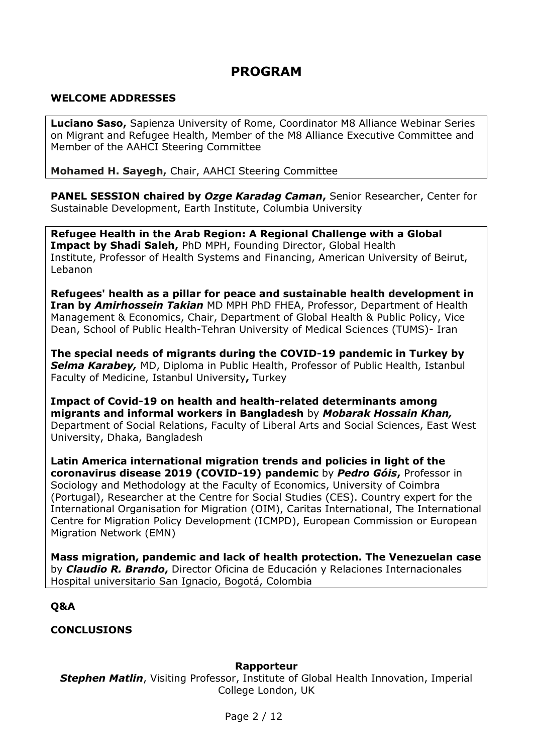## **PROGRAM**

#### **WELCOME ADDRESSES**

**Luciano Saso,** Sapienza University of Rome, Coordinator M8 Alliance Webinar Series on Migrant and Refugee Health, Member of the M8 Alliance Executive Committee and Member of the AAHCI Steering Committee

**Mohamed H. Sayegh,** Chair, AAHCI Steering Committee

**PANEL SESSION chaired by** *Ozge Karadag Caman***,** Senior Researcher, Center for Sustainable Development, Earth Institute, Columbia University

**Refugee Health in the Arab Region: A Regional Challenge with a Global Impact by Shadi Saleh,** PhD MPH, Founding Director, Global Health Institute, Professor of Health Systems and Financing, American University of Beirut, Lebanon

**Refugees' health as a pillar for peace and sustainable health development in Iran by** *Amirhossein Takian* MD MPH PhD FHEA, Professor, Department of Health Management & Economics, Chair, Department of Global Health & Public Policy, Vice Dean, School of Public Health-Tehran University of Medical Sciences (TUMS)- Iran

**The special needs of migrants during the COVID-19 pandemic in Turkey by** *Selma Karabey,* MD, Diploma in Public Health, Professor of Public Health, Istanbul Faculty of Medicine, Istanbul University**,** Turkey

**Impact of Covid-19 on health and health-related determinants among migrants and informal workers in Bangladesh** by *Mobarak Hossain Khan,* Department of Social Relations, Faculty of Liberal Arts and Social Sciences, East West University, Dhaka, Bangladesh

**Latin America international migration trends and policies in light of the coronavirus disease 2019 (COVID-19) pandemic** by *Pedro Góis***,** Professor in Sociology and Methodology at the Faculty of Economics, University of Coimbra (Portugal), Researcher at the Centre for Social Studies (CES). Country expert for the International Organisation for Migration (OIM), Caritas International, The International Centre for Migration Policy Development (ICMPD), European Commission or European Migration Network (EMN)

**Mass migration, pandemic and lack of health protection. The Venezuelan case** by *Claudio R. Brando***,** Director Oficina de Educación y Relaciones Internacionales Hospital universitario San Ignacio, Bogotá, Colombia

#### **Q&A**

**CONCLUSIONS**

#### **Rapporteur**

**Stephen Matlin**, Visiting Professor, Institute of Global Health Innovation, Imperial College London, UK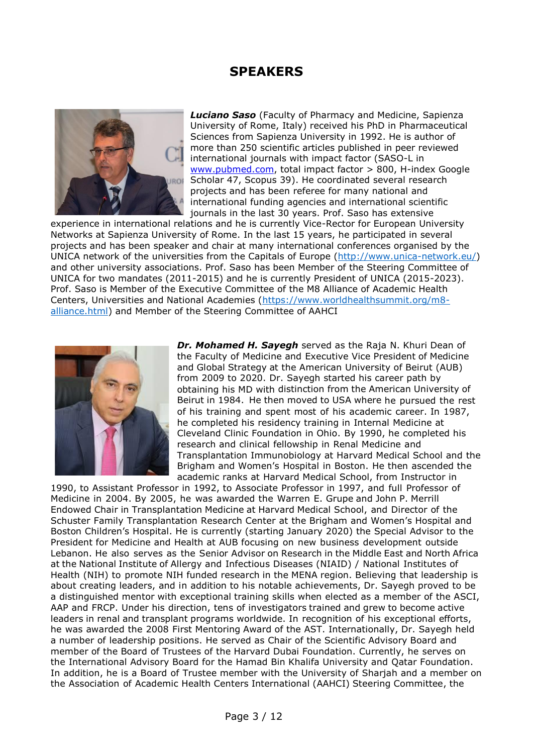## **SPEAKERS**



*Luciano Saso* (Faculty of Pharmacy and Medicine, Sapienza University of Rome, Italy) received his PhD in Pharmaceutical Sciences from Sapienza University in 1992. He is author of more than 250 scientific articles published in peer reviewed international journals with impact factor (SASO-L in [www.pubmed.com,](http://www.pubmed.com/) total impact factor > 800, H-index Google Scholar 47, Scopus 39). He coordinated several research projects and has been referee for many national and international funding agencies and international scientific journals in the last 30 years. Prof. Saso has extensive

experience in international relations and he is currently Vice-Rector for European University Networks at Sapienza University of Rome. In the last 15 years, he participated in several projects and has been speaker and chair at many international conferences organised by the UNICA network of the universities from the Capitals of Europe [\(http://www.unica-network.eu/\)](http://www.unica-network.eu/) and other university associations. Prof. Saso has been Member of the Steering Committee of UNICA for two mandates (2011-2015) and he is currently President of UNICA (2015-2023). Prof. Saso is Member of the Executive Committee of the M8 Alliance of Academic Health Centers, Universities and National Academies [\(https://www.worldhealthsummit.org/m8](https://www.worldhealthsummit.org/m8-alliance.html) [alliance.html\)](https://www.worldhealthsummit.org/m8-alliance.html) and Member of the Steering Committee of AAHCI



*Dr. Mohamed H. Sayegh* served as the Raja N. Khuri Dean of the Faculty of Medicine and Executive Vice President of Medicine and Global Strategy at the American University of Beirut (AUB) from 2009 to 2020. Dr. Sayegh started his career path by obtaining his MD with distinction from the American University of Beirut in 1984. He then moved to USA where he pursued the rest of his training and spent most of his academic career. In 1987, he completed his residency training in Internal Medicine at Cleveland Clinic Foundation in Ohio. By 1990, he completed his research and clinical fellowship in Renal Medicine and Transplantation Immunobiology at Harvard Medical School and the Brigham and Women's Hospital in Boston. He then ascended the academic ranks at Harvard Medical School, from Instructor in

1990, to Assistant Professor in 1992, to Associate Professor in 1997, and full Professor of Medicine in 2004. By 2005, he was awarded the Warren E. Grupe and John P. Merrill Endowed Chair in Transplantation Medicine at Harvard Medical School, and Director of the Schuster Family Transplantation Research Center at the Brigham and Women's Hospital and Boston Children's Hospital. He is currently (starting January 2020) the Special Advisor to the President for Medicine and Health at AUB focusing on new business development outside Lebanon. He also serves as the Senior Advisor on Research in the Middle East and North Africa at the National Institute of Allergy and Infectious Diseases (NIAID) / National Institutes of Health (NIH) to promote NIH funded research in the MENA region. Believing that leadership is about creating leaders, and in addition to his notable achievements, Dr. Sayegh proved to be a distinguished mentor with exceptional training skills when elected as a member of the ASCI, AAP and FRCP. Under his direction, tens of investigators trained and grew to become active leaders in renal and transplant programs worldwide. In recognition of his exceptional efforts, he was awarded the 2008 First Mentoring Award of the AST. Internationally, Dr. Sayegh held a number of leadership positions. He served as Chair of the Scientific Advisory Board and member of the Board of Trustees of the Harvard Dubai Foundation. Currently, he serves on the International Advisory Board for the Hamad Bin Khalifa University and Qatar Foundation. In addition, he is a Board of Trustee member with the University of Sharjah and a member on the Association of Academic Health Centers International (AAHCI) Steering Committee, the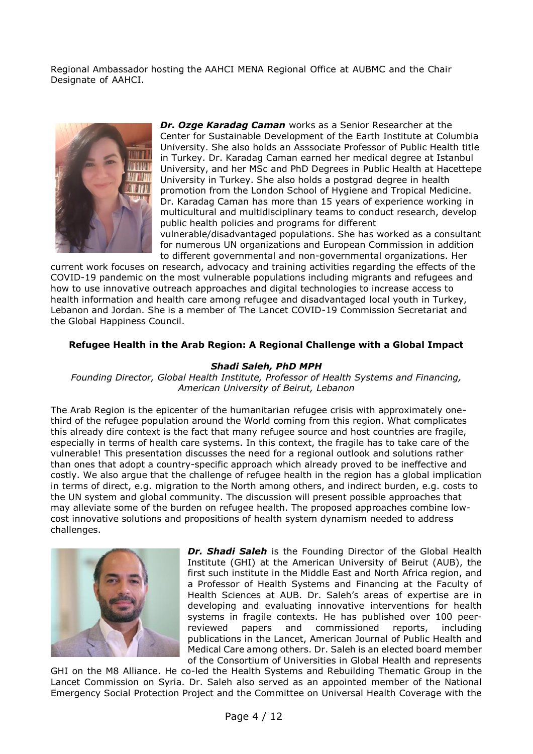Regional Ambassador hosting the AAHCI MENA Regional Office at AUBMC and the Chair Designate of AAHCI.



*Dr. Ozge Karadag Caman* works as a Senior Researcher at the Center for Sustainable Development of the Earth Institute at Columbia University. She also holds an Asssociate Professor of Public Health title in Turkey. Dr. Karadag Caman earned her medical degree at Istanbul University, and her MSc and PhD Degrees in Public Health at Hacettepe University in Turkey. She also holds a postgrad degree in health promotion from the London School of Hygiene and Tropical Medicine. Dr. Karadag Caman has more than 15 years of experience working in multicultural and multidisciplinary teams to conduct research, develop public health policies and programs for different vulnerable/disadvantaged populations. She has worked as a consultant

for numerous UN organizations and European Commission in addition to different governmental and non-governmental organizations. Her

current work focuses on research, advocacy and training activities regarding the effects of the COVID-19 pandemic on the most vulnerable populations including migrants and refugees and how to use innovative outreach approaches and digital technologies to increase access to health information and health care among refugee and disadvantaged local youth in Turkey, Lebanon and Jordan. She is a member of The Lancet COVID-19 Commission Secretariat and the Global Happiness Council.

#### **Refugee Health in the Arab Region: A Regional Challenge with a Global Impact**

#### *Shadi Saleh, PhD MPH*

*Founding Director, Global Health Institute, Professor of Health Systems and Financing, American University of Beirut, Lebanon*

The Arab Region is the epicenter of the humanitarian refugee crisis with approximately onethird of the refugee population around the World coming from this region. What complicates this already dire context is the fact that many refugee source and host countries are fragile, especially in terms of health care systems. In this context, the fragile has to take care of the vulnerable! This presentation discusses the need for a regional outlook and solutions rather than ones that adopt a country-specific approach which already proved to be ineffective and costly. We also argue that the challenge of refugee health in the region has a global implication in terms of direct, e.g. migration to the North among others, and indirect burden, e.g. costs to the UN system and global community. The discussion will present possible approaches that may alleviate some of the burden on refugee health. The proposed approaches combine lowcost innovative solutions and propositions of health system dynamism needed to address challenges.



*Dr. Shadi Saleh* is the Founding Director of the Global Health Institute (GHI) at the American University of Beirut (AUB), the first such institute in the Middle East and North Africa region, and a Professor of Health Systems and Financing at the Faculty of Health Sciences at AUB. Dr. Saleh's areas of expertise are in developing and evaluating innovative interventions for health systems in fragile contexts. He has published over 100 peerreviewed papers and commissioned reports, including publications in the Lancet, American Journal of Public Health and Medical Care among others. Dr. Saleh is an elected board member of the Consortium of Universities in Global Health and represents

GHI on the M8 Alliance. He co-led the Health Systems and Rebuilding Thematic Group in the Lancet Commission on Syria. Dr. Saleh also served as an appointed member of the National Emergency Social Protection Project and the Committee on Universal Health Coverage with the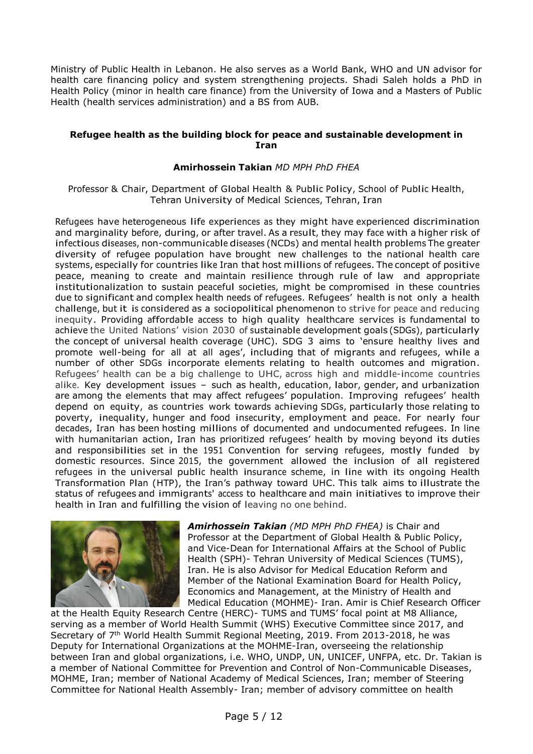Ministry of Public Health in Lebanon. He also serves as a World Bank, WHO and UN advisor for health care financing policy and system strengthening projects. Shadi Saleh holds a PhD in Health Policy (minor in health care finance) from the University of Iowa and a Masters of Public Health (health services administration) and a BS from AUB.

#### **Refugee health as the building block for peace and sustainable development in Iran**

#### **Amirhossein Takian** *MD MPH PhD FHEA*

Professor & Chair, Department of Global Health & Public Policy, School of Public Health, Tehran University of Medical Sciences, Tehran, Iran

Refugees have heterogeneous life experiences as they might have experienced discrimination and marginality before, during, or after travel. As a result, they may face with a higher risk of infectious diseases, non-communicable diseases (NCDs) and mental health problems The greater diversity of refugee population have brought new challenges to the national health care systems, especially for countries like Iran that host millions of refugees. The concept of positive peace, meaning to create and maintain resilience through rule of law and appropriate institutionalization to sustain peaceful societies, might be compromised in these countries due to significant and complex health needs of refugees. Refugees' health is not only a health challenge, but it is considered as a sociopolitical phenomenon to strive for peace and reducing inequity. Providing affordable access to high quality healthcare services is fundamental to achieve the United Nations' vision 2030 of sustainable development goals (SDGs), particularly the concept of universal health coverage (UHC). SDG 3 aims to 'ensure healthy lives and promote well-being for all at all ages', including that of migrants and refugees, while a number of other SDGs incorporate elements relating to health outcomes and migration. Refugees' health can be a big challenge to UHC, across high and middle-income countries alike. Key development issues – such as health, education, labor, gender, and urbanization are among the elements that may affect refugees' population. Improving refugees' health depend on equity, as countries work towards achieving SDGs, particularly those relating to poverty, inequality, hunger and food insecurity, employment and peace. For nearly four decades, Iran has been hosting millions of documented and undocumented refugees. In line with humanitarian action, Iran has prioritized refugees' health by moving beyond its duties and responsibilities set in the <sup>1951</sup> Convention for serving refugees, mostly funded by domestic resources. Since 2015, the government allowed the inclusion of all registered refugees in the universal public health insurance scheme, in line with its ongoing Health Transformation Plan (HTP), the Iran's pathway toward UHC. This talk aims to illustrate the status of refugees and immigrants' access to healthcare and main initiatives to improve their health in Iran and fulfilling the vision of leaving no one behind.



*Amirhossein Takian (MD MPH PhD FHEA)* is Chair and Professor at the Department of Global Health & Public Policy, and Vice-Dean for International Affairs at the School of Public Health (SPH)- Tehran University of Medical Sciences (TUMS), Iran. He is also Advisor for Medical Education Reform and Member of the National Examination Board for Health Policy, Economics and Management, at the Ministry of Health and Medical Education (MOHME)- Iran. Amir is Chief Research Officer

at the Health Equity Research Centre (HERC)- TUMS and TUMS' focal point at M8 Alliance, serving as a member of World Health Summit (WHS) Executive Committee since 2017, and Secretary of 7th World Health Summit Regional Meeting, 2019. From 2013-2018, he was Deputy for International Organizations at the MOHME-Iran, overseeing the relationship between Iran and global organizations, i.e. WHO, UNDP, UN, UNICEF, UNFPA, etc. Dr. Takian is a member of National Committee for Prevention and Control of Non-Communicable Diseases, MOHME, Iran; member of National Academy of Medical Sciences, Iran; member of Steering Committee for National Health Assembly- Iran; member of advisory committee on health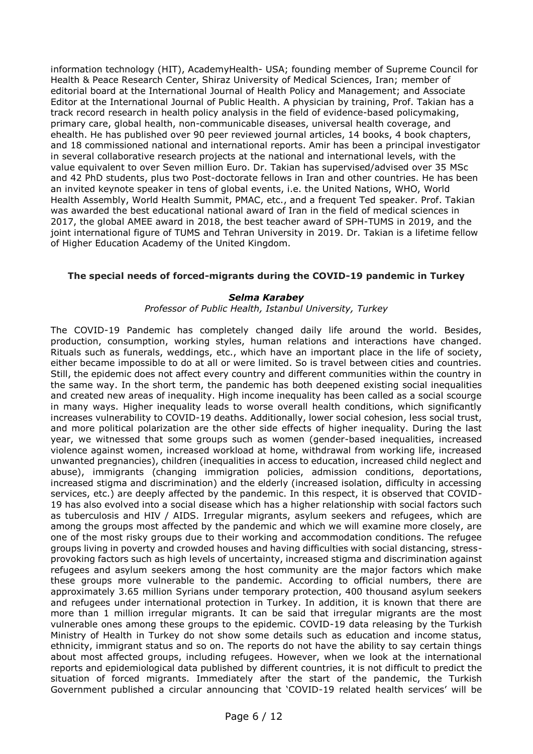information technology (HIT), AcademyHealth- USA; founding member of Supreme Council for Health & Peace Research Center, Shiraz University of Medical Sciences, Iran; member of editorial board at the International Journal of Health Policy and Management; and Associate Editor at the International Journal of Public Health. A physician by training, Prof. Takian has a track record research in health policy analysis in the field of evidence-based policymaking, primary care, global health, non-communicable diseases, universal health coverage, and ehealth. He has published over 90 peer reviewed journal articles, 14 books, 4 book chapters, and 18 commissioned national and international reports. Amir has been a principal investigator in several collaborative research projects at the national and international levels, with the value equivalent to over Seven million Euro. Dr. Takian has supervised/advised over 35 MSc and 42 PhD students, plus two Post-doctorate fellows in Iran and other countries. He has been an invited keynote speaker in tens of global events, i.e. the United Nations, WHO, World Health Assembly, World Health Summit, PMAC, etc., and a frequent Ted speaker. Prof. Takian was awarded the best educational national award of Iran in the field of medical sciences in 2017, the global AMEE award in 2018, the best teacher award of SPH-TUMS in 2019, and the joint international figure of TUMS and Tehran University in 2019. Dr. Takian is a lifetime fellow of Higher Education Academy of the United Kingdom.

#### **The special needs of forced-migrants during the COVID-19 pandemic in Turkey**

#### *Selma Karabey*

#### *Professor of Public Health, Istanbul University, Turkey*

The COVID-19 Pandemic has completely changed daily life around the world. Besides, production, consumption, working styles, human relations and interactions have changed. Rituals such as funerals, weddings, etc., which have an important place in the life of society, either became impossible to do at all or were limited. So is travel between cities and countries. Still, the epidemic does not affect every country and different communities within the country in the same way. In the short term, the pandemic has both deepened existing social inequalities and created new areas of inequality. High income inequality has been called as a social scourge in many ways. Higher inequality leads to worse overall health conditions, which significantly increases vulnerability to COVID-19 deaths. Additionally, lower social cohesion, less social trust, and more political polarization are the other side effects of higher inequality. During the last year, we witnessed that some groups such as women (gender-based inequalities, increased violence against women, increased workload at home, withdrawal from working life, increased unwanted pregnancies), children (inequalities in access to education, increased child neglect and abuse), immigrants (changing immigration policies, admission conditions, deportations, increased stigma and discrimination) and the elderly (increased isolation, difficulty in accessing services, etc.) are deeply affected by the pandemic. In this respect, it is observed that COVID-19 has also evolved into a social disease which has a higher relationship with social factors such as tuberculosis and HIV / AIDS. Irregular migrants, asylum seekers and refugees, which are among the groups most affected by the pandemic and which we will examine more closely, are one of the most risky groups due to their working and accommodation conditions. The refugee groups living in poverty and crowded houses and having difficulties with social distancing, stressprovoking factors such as high levels of uncertainty, increased stigma and discrimination against refugees and asylum seekers among the host community are the major factors which make these groups more vulnerable to the pandemic. According to official numbers, there are approximately 3.65 million Syrians under temporary protection, 400 thousand asylum seekers and refugees under international protection in Turkey. In addition, it is known that there are more than 1 million irregular migrants. It can be said that irregular migrants are the most vulnerable ones among these groups to the epidemic. COVID-19 data releasing by the Turkish Ministry of Health in Turkey do not show some details such as education and income status, ethnicity, immigrant status and so on. The reports do not have the ability to say certain things about most affected groups, including refugees. However, when we look at the international reports and epidemiological data published by different countries, it is not difficult to predict the situation of forced migrants. Immediately after the start of the pandemic, the Turkish Government published a circular announcing that 'COVID-19 related health services' will be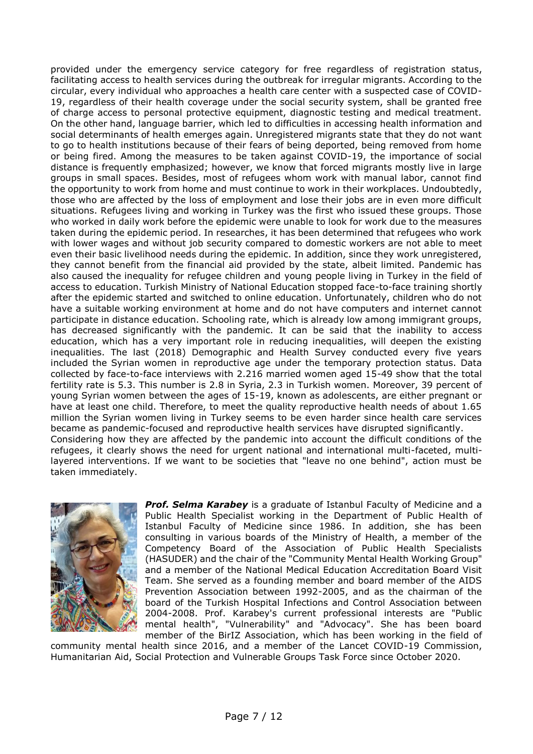provided under the emergency service category for free regardless of registration status, facilitating access to health services during the outbreak for irregular migrants. According to the circular, every individual who approaches a health care center with a suspected case of COVID-19, regardless of their health coverage under the social security system, shall be granted free of charge access to personal protective equipment, diagnostic testing and medical treatment. On the other hand, language barrier, which led to difficulties in accessing health information and social determinants of health emerges again. Unregistered migrants state that they do not want to go to health institutions because of their fears of being deported, being removed from home or being fired. Among the measures to be taken against COVID-19, the importance of social distance is frequently emphasized; however, we know that forced migrants mostly live in large groups in small spaces. Besides, most of refugees whom work with manual labor, cannot find the opportunity to work from home and must continue to work in their workplaces. Undoubtedly, those who are affected by the loss of employment and lose their jobs are in even more difficult situations. Refugees living and working in Turkey was the first who issued these groups. Those who worked in daily work before the epidemic were unable to look for work due to the measures taken during the epidemic period. In researches, it has been determined that refugees who work with lower wages and without job security compared to domestic workers are not able to meet even their basic livelihood needs during the epidemic. In addition, since they work unregistered, they cannot benefit from the financial aid provided by the state, albeit limited. Pandemic has also caused the inequality for refugee children and young people living in Turkey in the field of access to education. Turkish Ministry of National Education stopped face-to-face training shortly after the epidemic started and switched to online education. Unfortunately, children who do not have a suitable working environment at home and do not have computers and internet cannot participate in distance education. Schooling rate, which is already low among immigrant groups, has decreased significantly with the pandemic. It can be said that the inability to access education, which has a very important role in reducing inequalities, will deepen the existing inequalities. The last (2018) Demographic and Health Survey conducted every five years included the Syrian women in reproductive age under the temporary protection status. Data collected by face-to-face interviews with 2.216 married women aged 15-49 show that the total fertility rate is 5.3. This number is 2.8 in Syria, 2.3 in Turkish women. Moreover, 39 percent of young Syrian women between the ages of 15-19, known as adolescents, are either pregnant or have at least one child. Therefore, to meet the quality reproductive health needs of about 1.65 million the Syrian women living in Turkey seems to be even harder since health care services became as pandemic-focused and reproductive health services have disrupted significantly. Considering how they are affected by the pandemic into account the difficult conditions of the refugees, it clearly shows the need for urgent national and international multi-faceted, multilayered interventions. If we want to be societies that "leave no one behind", action must be taken immediately.



*Prof. Selma Karabey* is a graduate of Istanbul Faculty of Medicine and a Public Health Specialist working in the Department of Public Health of Istanbul Faculty of Medicine since 1986. In addition, she has been consulting in various boards of the Ministry of Health, a member of the Competency Board of the Association of Public Health Specialists (HASUDER) and the chair of the "Community Mental Health Working Group" and a member of the National Medical Education Accreditation Board Visit Team. She served as a founding member and board member of the AIDS Prevention Association between 1992-2005, and as the chairman of the board of the Turkish Hospital Infections and Control Association between 2004-2008. Prof. Karabey's current professional interests are "Public mental health", "Vulnerability" and "Advocacy". She has been board member of the BirIZ Association, which has been working in the field of

community mental health since 2016, and a member of the Lancet COVID-19 Commission, Humanitarian Aid, Social Protection and Vulnerable Groups Task Force since October 2020.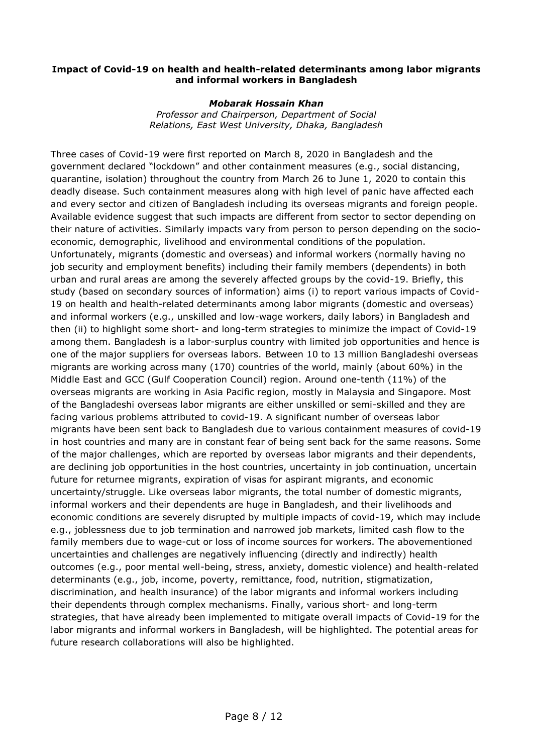#### **Impact of Covid-19 on health and health-related determinants among labor migrants and informal workers in Bangladesh**

#### *Mobarak Hossain Khan*

*Professor and Chairperson, Department of Social Relations, East West University, Dhaka, Bangladesh*

Three cases of Covid-19 were first reported on March 8, 2020 in Bangladesh and the government declared "lockdown" and other containment measures (e.g., social distancing, quarantine, isolation) throughout the country from March 26 to June 1, 2020 to contain this deadly disease. Such containment measures along with high level of panic have affected each and every sector and citizen of Bangladesh including its overseas migrants and foreign people. Available evidence suggest that such impacts are different from sector to sector depending on their nature of activities. Similarly impacts vary from person to person depending on the socioeconomic, demographic, livelihood and environmental conditions of the population. Unfortunately, migrants (domestic and overseas) and informal workers (normally having no job security and employment benefits) including their family members (dependents) in both urban and rural areas are among the severely affected groups by the covid-19. Briefly, this study (based on secondary sources of information) aims (i) to report various impacts of Covid-19 on health and health-related determinants among labor migrants (domestic and overseas) and informal workers (e.g., unskilled and low-wage workers, daily labors) in Bangladesh and then (ii) to highlight some short- and long-term strategies to minimize the impact of Covid-19 among them. Bangladesh is a labor-surplus country with limited job opportunities and hence is one of the major suppliers for overseas labors. Between 10 to 13 million Bangladeshi overseas migrants are working across many (170) countries of the world, mainly (about 60%) in the Middle East and GCC (Gulf Cooperation Council) region. Around one-tenth (11%) of the overseas migrants are working in Asia Pacific region, mostly in Malaysia and Singapore. Most of the Bangladeshi overseas labor migrants are either unskilled or semi-skilled and they are facing various problems attributed to covid-19. A significant number of overseas labor migrants have been sent back to Bangladesh due to various containment measures of covid-19 in host countries and many are in constant fear of being sent back for the same reasons. Some of the major challenges, which are reported by overseas labor migrants and their dependents, are declining job opportunities in the host countries, uncertainty in job continuation, uncertain future for returnee migrants, expiration of visas for aspirant migrants, and economic uncertainty/struggle. Like overseas labor migrants, the total number of domestic migrants, informal workers and their dependents are huge in Bangladesh, and their livelihoods and economic conditions are severely disrupted by multiple impacts of covid-19, which may include e.g., joblessness due to job termination and narrowed job markets, limited cash flow to the family members due to wage-cut or loss of income sources for workers. The abovementioned uncertainties and challenges are negatively influencing (directly and indirectly) health outcomes (e.g., poor mental well-being, stress, anxiety, domestic violence) and health-related determinants (e.g., job, income, poverty, remittance, food, nutrition, stigmatization, discrimination, and health insurance) of the labor migrants and informal workers including their dependents through complex mechanisms. Finally, various short- and long-term strategies, that have already been implemented to mitigate overall impacts of Covid-19 for the labor migrants and informal workers in Bangladesh, will be highlighted. The potential areas for future research collaborations will also be highlighted.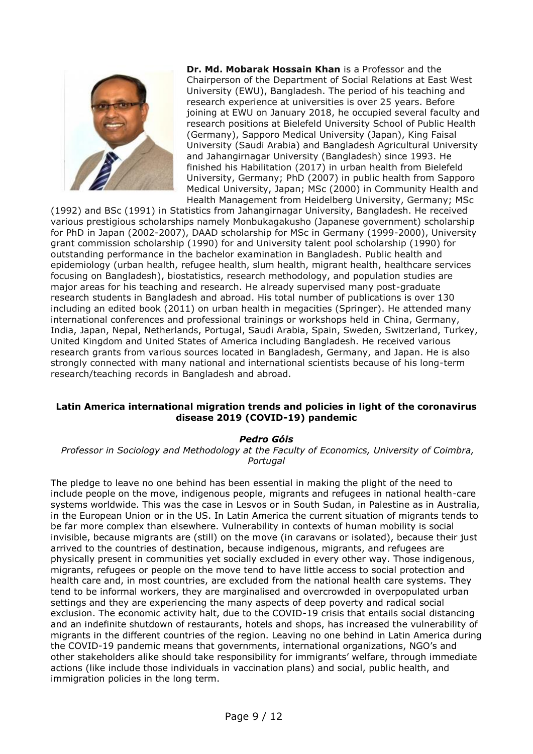

**Dr. Md. Mobarak Hossain Khan** is a Professor and the Chairperson of the Department of Social Relations at East West University (EWU), Bangladesh. The period of his teaching and research experience at universities is over 25 years. Before joining at EWU on January 2018, he occupied several faculty and research positions at Bielefeld University School of Public Health (Germany), Sapporo Medical University (Japan), King Faisal University (Saudi Arabia) and Bangladesh Agricultural University and Jahangirnagar University (Bangladesh) since 1993. He finished his Habilitation (2017) in urban health from Bielefeld University, Germany; PhD (2007) in public health from Sapporo Medical University, Japan; MSc (2000) in Community Health and Health Management from Heidelberg University, Germany; MSc

(1992) and BSc (1991) in Statistics from Jahangirnagar University, Bangladesh. He received various prestigious scholarships namely Monbukagakusho (Japanese government) scholarship for PhD in Japan (2002-2007), DAAD scholarship for MSc in Germany (1999-2000), University grant commission scholarship (1990) for and University talent pool scholarship (1990) for outstanding performance in the bachelor examination in Bangladesh. Public health and epidemiology (urban health, refugee health, slum health, migrant health, healthcare services focusing on Bangladesh), biostatistics, research methodology, and population studies are major areas for his teaching and research. He already supervised many post-graduate research students in Bangladesh and abroad. His total number of publications is over 130 including an edited book (2011) on urban health in megacities (Springer). He attended many international conferences and professional trainings or workshops held in China, Germany, India, Japan, Nepal, Netherlands, Portugal, Saudi Arabia, Spain, Sweden, Switzerland, Turkey, United Kingdom and United States of America including Bangladesh. He received various research grants from various sources located in Bangladesh, Germany, and Japan. He is also strongly connected with many national and international scientists because of his long-term research/teaching records in Bangladesh and abroad.

#### **Latin America international migration trends and policies in light of the coronavirus disease 2019 (COVID-19) pandemic**

#### *Pedro Góis*

*Professor in Sociology and Methodology at the Faculty of Economics, University of Coimbra, Portugal* 

The pledge to leave no one behind has been essential in making the plight of the need to include people on the move, indigenous people, migrants and refugees in national health-care systems worldwide. This was the case in Lesvos or in South Sudan, in Palestine as in Australia, in the European Union or in the US. In Latin America the current situation of migrants tends to be far more complex than elsewhere. Vulnerability in contexts of human mobility is social invisible, because migrants are (still) on the move (in caravans or isolated), because their just arrived to the countries of destination, because indigenous, migrants, and refugees are physically present in communities yet socially excluded in every other way. Those indigenous, migrants, refugees or people on the move tend to have little access to social protection and health care and, in most countries, are excluded from the national health care systems. They tend to be informal workers, they are marginalised and overcrowded in overpopulated urban settings and they are experiencing the many aspects of deep poverty and radical social exclusion. The economic activity halt, due to the COVID-19 crisis that entails social distancing and an indefinite shutdown of restaurants, hotels and shops, has increased the vulnerability of migrants in the different countries of the region. Leaving no one behind in Latin America during the COVID-19 pandemic means that governments, international organizations, NGO's and other stakeholders alike should take responsibility for immigrants' welfare, through immediate actions (like include those individuals in vaccination plans) and social, public health, and immigration policies in the long term.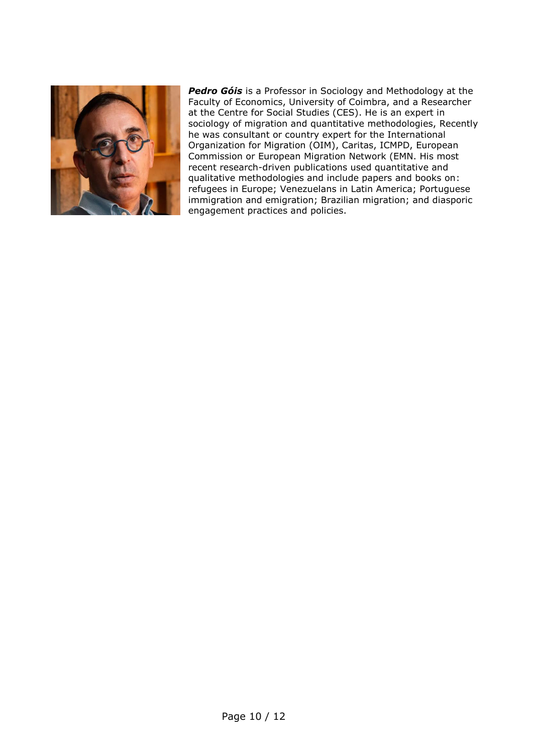

*Pedro Góis* is a Professor in Sociology and Methodology at the Faculty of Economics, University of Coimbra, and a Researcher at the Centre for Social Studies (CES). He is an expert in sociology of migration and quantitative methodologies, Recently he was consultant or country expert for the International Organization for Migration (OIM), Caritas, ICMPD, European Commission or European Migration Network (EMN. His most recent research-driven publications used quantitative and qualitative methodologies and include papers and books on: refugees in Europe; Venezuelans in Latin America; Portuguese immigration and emigration; Brazilian migration; and diasporic engagement practices and policies.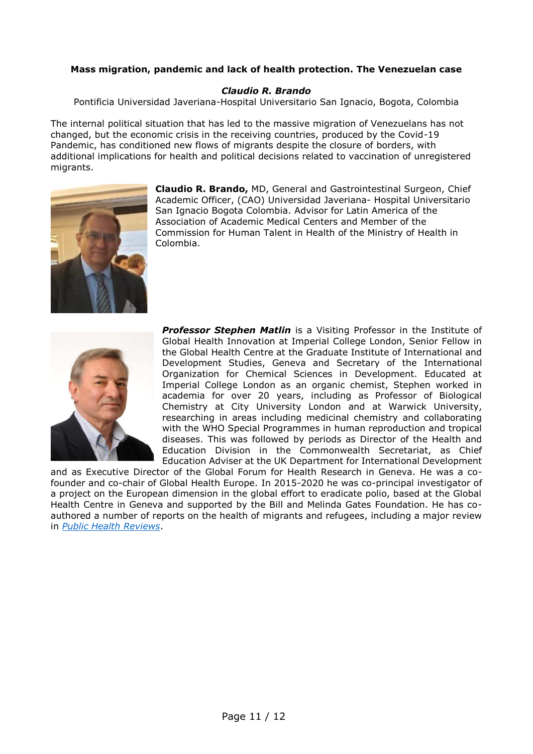#### **Mass migration, pandemic and lack of health protection. The Venezuelan case**

#### *Claudio R. Brando*

Pontificia Universidad Javeriana-Hospital Universitario San Ignacio, Bogota, Colombia

The internal political situation that has led to the massive migration of Venezuelans has not changed, but the economic crisis in the receiving countries, produced by the Covid-19 Pandemic, has conditioned new flows of migrants despite the closure of borders, with additional implications for health and political decisions related to vaccination of unregistered migrants.



**Claudio R. Brando,** MD, General and Gastrointestinal Surgeon, Chief Academic Officer, (CAO) Universidad Javeriana- Hospital Universitario San Ignacio Bogota Colombia. Advisor for Latin America of the Association of Academic Medical Centers and Member of the Commission for Human Talent in Health of the Ministry of Health in Colombia.



**Professor Stephen Matlin** is a Visiting Professor in the Institute of Global Health Innovation at Imperial College London, Senior Fellow in the Global Health Centre at the Graduate Institute of International and Development Studies, Geneva and Secretary of the International Organization for Chemical Sciences in Development. Educated at Imperial College London as an organic chemist, Stephen worked in academia for over 20 years, including as Professor of Biological Chemistry at City University London and at Warwick University, researching in areas including medicinal chemistry and collaborating with the WHO Special Programmes in human reproduction and tropical diseases. This was followed by periods as Director of the Health and Education Division in the Commonwealth Secretariat, as Chief Education Adviser at the UK Department for International Development

and as Executive Director of the Global Forum for Health Research in Geneva. He was a cofounder and co-chair of Global Health Europe. In 2015-2020 he was co-principal investigator of a project on the European dimension in the global effort to eradicate polio, based at the Global Health Centre in Geneva and supported by the Bill and Melinda Gates Foundation. He has coauthored a number of reports on the health of migrants and refugees, including a major review in *[Public Health Reviews](https://doi.org/10.1186/s40985-018-0104-9)*.